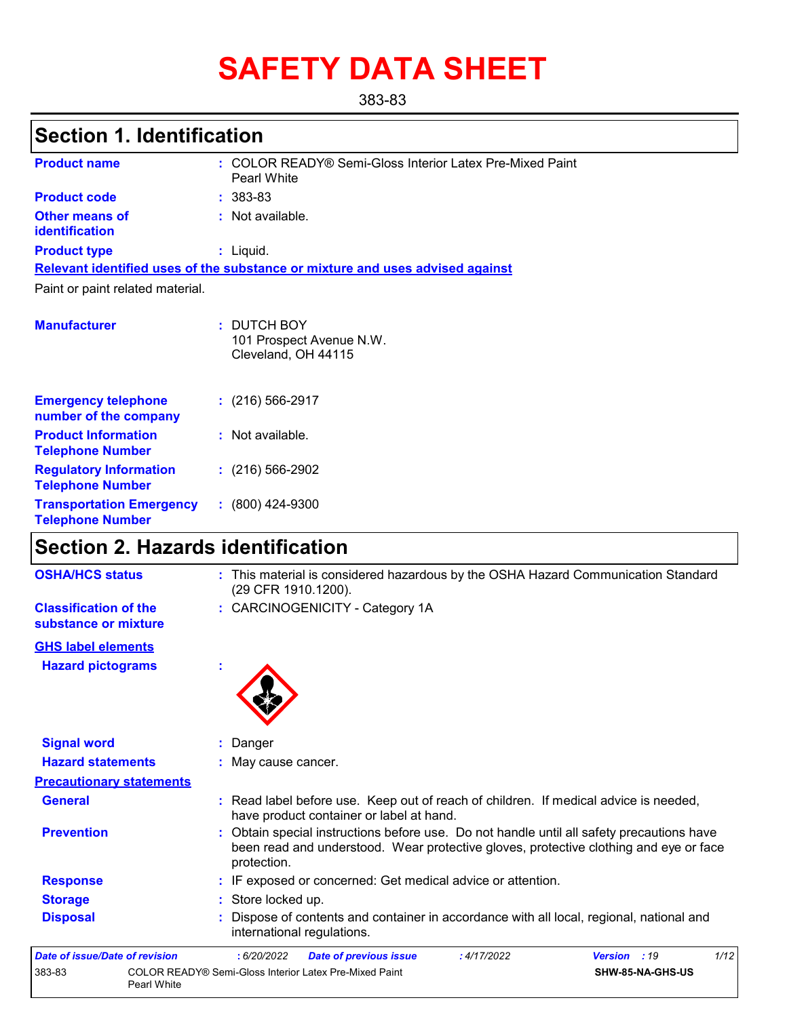# **SAFETY DATA SHEET**

383-83

## **Section 1. Identification**

| <b>Product name</b>                                        | : COLOR READY® Semi-Gloss Interior Latex Pre-Mixed Paint<br><b>Pearl White</b> |
|------------------------------------------------------------|--------------------------------------------------------------------------------|
| <b>Product code</b>                                        | $: 383-83$                                                                     |
| <b>Other means of</b><br>identification                    | : Not available.                                                               |
| <b>Product type</b>                                        | $:$ Liquid.                                                                    |
|                                                            | Relevant identified uses of the substance or mixture and uses advised against  |
| Paint or paint related material.                           |                                                                                |
|                                                            |                                                                                |
| <b>Manufacturer</b>                                        | : DUTCH BOY<br>101 Prospect Avenue N.W.<br>Cleveland, OH 44115                 |
| <b>Emergency telephone</b><br>number of the company        | $(216)$ 566-2917                                                               |
| <b>Product Information</b><br><b>Telephone Number</b>      | : Not available.                                                               |
| <b>Regulatory Information</b><br><b>Telephone Number</b>   | $(216)$ 566-2902                                                               |
| <b>Transportation Emergency</b><br><b>Telephone Number</b> | $: (800)$ 424-9300                                                             |

## **Section 2. Hazards identification**

| <b>OSHA/HCS status</b>                               | : This material is considered hazardous by the OSHA Hazard Communication Standard<br>(29 CFR 1910.1200).                                                                                          |
|------------------------------------------------------|---------------------------------------------------------------------------------------------------------------------------------------------------------------------------------------------------|
| <b>Classification of the</b><br>substance or mixture | : CARCINOGENICITY - Category 1A                                                                                                                                                                   |
| <b>GHS label elements</b>                            |                                                                                                                                                                                                   |
| <b>Hazard pictograms</b>                             |                                                                                                                                                                                                   |
| <b>Signal word</b>                                   | Danger                                                                                                                                                                                            |
| <b>Hazard statements</b>                             | : May cause cancer.                                                                                                                                                                               |
| <b>Precautionary statements</b>                      |                                                                                                                                                                                                   |
| <b>General</b>                                       | : Read label before use. Keep out of reach of children. If medical advice is needed,<br>have product container or label at hand.                                                                  |
| <b>Prevention</b>                                    | : Obtain special instructions before use. Do not handle until all safety precautions have<br>been read and understood. Wear protective gloves, protective clothing and eye or face<br>protection. |
| <b>Response</b>                                      | : IF exposed or concerned: Get medical advice or attention.                                                                                                                                       |
| <b>Storage</b>                                       | : Store locked up.                                                                                                                                                                                |
| <b>Disposal</b>                                      | Dispose of contents and container in accordance with all local, regional, national and<br>international regulations.                                                                              |
| Date of issue/Date of revision                       | 1/12<br>: 6/20/2022<br><b>Date of previous issue</b><br>:4/17/2022<br>Version : 19                                                                                                                |
| 383-83                                               | COLOR READY® Semi-Gloss Interior Latex Pre-Mixed Paint<br>SHW-85-NA-GHS-US<br>Pearl White                                                                                                         |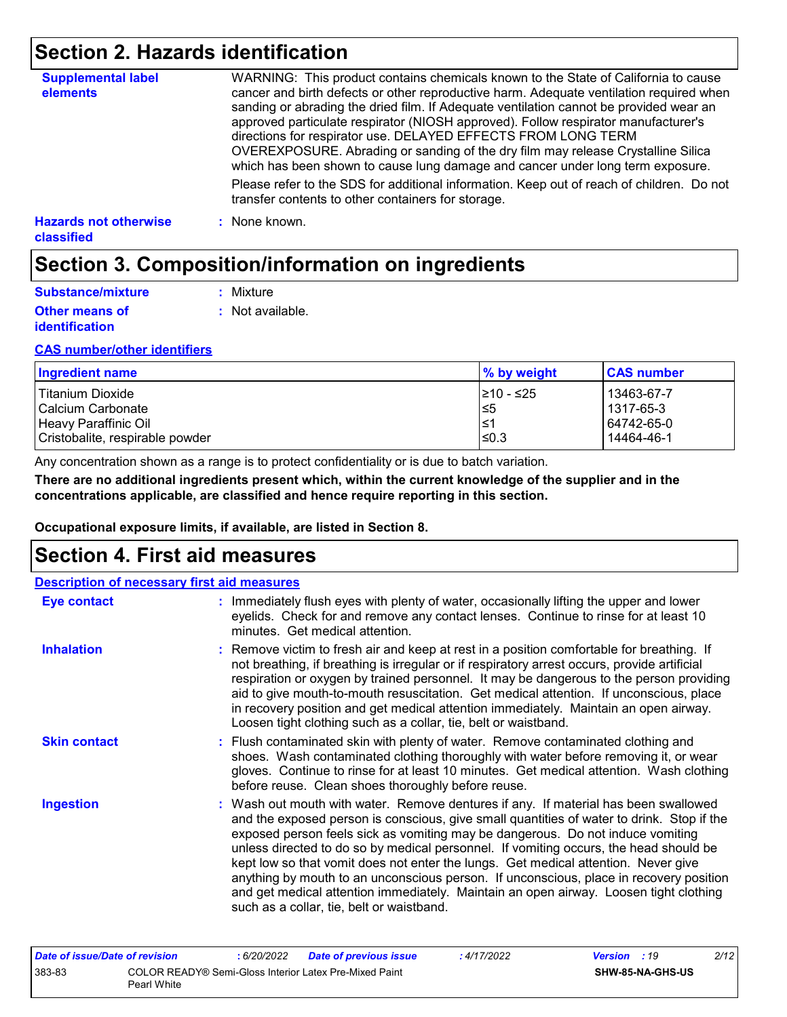## **Section 2. Hazards identification**

| <b>Supplemental label</b><br>elements      | WARNING: This product contains chemicals known to the State of California to cause<br>cancer and birth defects or other reproductive harm. Adequate ventilation required when<br>sanding or abrading the dried film. If Adequate ventilation cannot be provided wear an<br>approved particulate respirator (NIOSH approved). Follow respirator manufacturer's<br>directions for respirator use. DELAYED EFFECTS FROM LONG TERM<br>OVEREXPOSURE. Abrading or sanding of the dry film may release Crystalline Silica<br>which has been shown to cause lung damage and cancer under long term exposure. |
|--------------------------------------------|------------------------------------------------------------------------------------------------------------------------------------------------------------------------------------------------------------------------------------------------------------------------------------------------------------------------------------------------------------------------------------------------------------------------------------------------------------------------------------------------------------------------------------------------------------------------------------------------------|
|                                            | Please refer to the SDS for additional information. Keep out of reach of children. Do not<br>transfer contents to other containers for storage.                                                                                                                                                                                                                                                                                                                                                                                                                                                      |
| <b>Hazards not otherwise</b><br>classified | : None known.                                                                                                                                                                                                                                                                                                                                                                                                                                                                                                                                                                                        |

## **Section 3. Composition/information on ingredients**

| Substance/mixture                              | : Mixture        |
|------------------------------------------------|------------------|
| <b>Other means of</b><br><i>identification</i> | : Not available. |

#### **CAS number/other identifiers**

| Ingredient name                 | % by weight | <b>CAS number</b> |
|---------------------------------|-------------|-------------------|
| Titanium Dioxide                | 1≥10 - ≤25  | 13463-67-7        |
| l Calcium Carbonate             | l≤5         | l 1317-65-3       |
| Heavy Paraffinic Oil            | 1≥ا         | 64742-65-0        |
| Cristobalite, respirable powder | l≤0.3       | 14464-46-1        |

Any concentration shown as a range is to protect confidentiality or is due to batch variation.

**There are no additional ingredients present which, within the current knowledge of the supplier and in the concentrations applicable, are classified and hence require reporting in this section.**

**Occupational exposure limits, if available, are listed in Section 8.**

### **Section 4. First aid measures**

| <b>Description of necessary first aid measures</b> |                                                                                                                                                                                                                                                                                                                                                                                                                                                                                                                                                                                                                                                                                   |
|----------------------------------------------------|-----------------------------------------------------------------------------------------------------------------------------------------------------------------------------------------------------------------------------------------------------------------------------------------------------------------------------------------------------------------------------------------------------------------------------------------------------------------------------------------------------------------------------------------------------------------------------------------------------------------------------------------------------------------------------------|
| <b>Eye contact</b>                                 | : Immediately flush eyes with plenty of water, occasionally lifting the upper and lower<br>eyelids. Check for and remove any contact lenses. Continue to rinse for at least 10<br>minutes. Get medical attention.                                                                                                                                                                                                                                                                                                                                                                                                                                                                 |
| <b>Inhalation</b>                                  | : Remove victim to fresh air and keep at rest in a position comfortable for breathing. If<br>not breathing, if breathing is irregular or if respiratory arrest occurs, provide artificial<br>respiration or oxygen by trained personnel. It may be dangerous to the person providing<br>aid to give mouth-to-mouth resuscitation. Get medical attention. If unconscious, place<br>in recovery position and get medical attention immediately. Maintain an open airway.<br>Loosen tight clothing such as a collar, tie, belt or waistband.                                                                                                                                         |
| <b>Skin contact</b>                                | : Flush contaminated skin with plenty of water. Remove contaminated clothing and<br>shoes. Wash contaminated clothing thoroughly with water before removing it, or wear<br>gloves. Continue to rinse for at least 10 minutes. Get medical attention. Wash clothing<br>before reuse. Clean shoes thoroughly before reuse.                                                                                                                                                                                                                                                                                                                                                          |
| <b>Ingestion</b>                                   | : Wash out mouth with water. Remove dentures if any. If material has been swallowed<br>and the exposed person is conscious, give small quantities of water to drink. Stop if the<br>exposed person feels sick as vomiting may be dangerous. Do not induce vomiting<br>unless directed to do so by medical personnel. If vomiting occurs, the head should be<br>kept low so that vomit does not enter the lungs. Get medical attention. Never give<br>anything by mouth to an unconscious person. If unconscious, place in recovery position<br>and get medical attention immediately. Maintain an open airway. Loosen tight clothing<br>such as a collar, tie, belt or waistband. |

| Date of issue/Date of revision |                                                                       | : 6/20/2022 | <b>Date of previous issue</b> | : 4/17/2022 | <b>Version</b> : 19 |                         | 2/12 |
|--------------------------------|-----------------------------------------------------------------------|-------------|-------------------------------|-------------|---------------------|-------------------------|------|
| 383-83                         | COLOR READY® Semi-Gloss Interior Latex Pre-Mixed Paint<br>Pearl White |             |                               |             |                     | <b>SHW-85-NA-GHS-US</b> |      |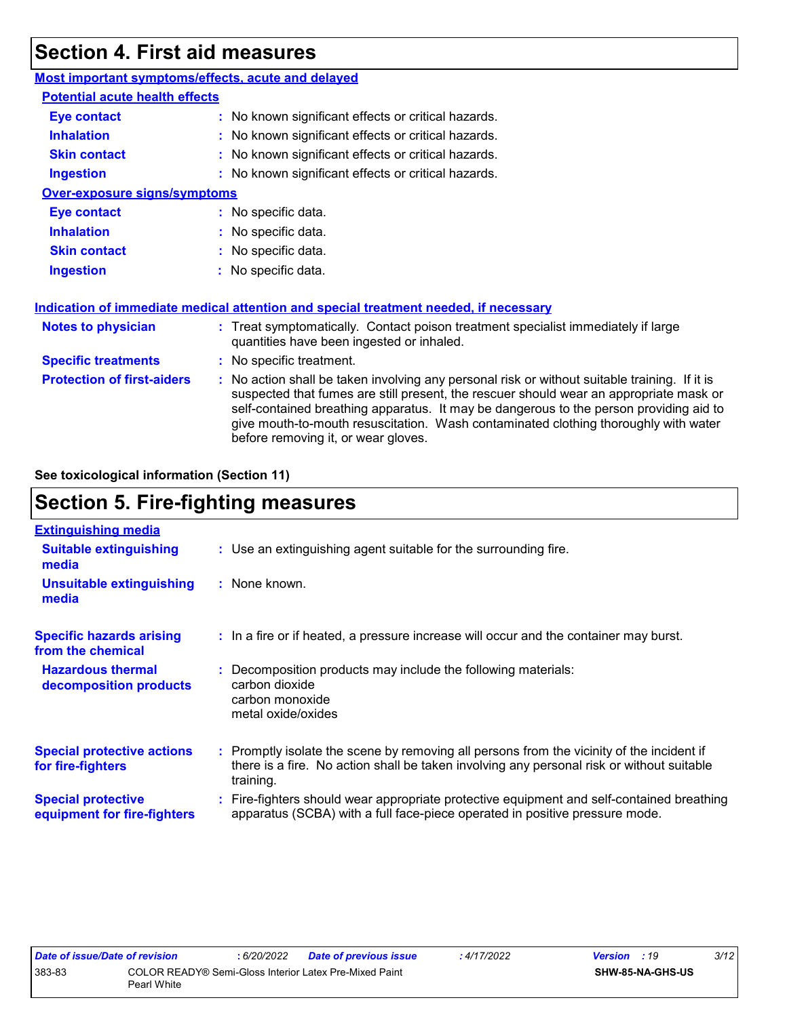## **Section 4. First aid measures**

| Most important symptoms/effects, acute and delayed |                                                                                                                                                                                                                                                                                                                                                                                                                 |
|----------------------------------------------------|-----------------------------------------------------------------------------------------------------------------------------------------------------------------------------------------------------------------------------------------------------------------------------------------------------------------------------------------------------------------------------------------------------------------|
| <b>Potential acute health effects</b>              |                                                                                                                                                                                                                                                                                                                                                                                                                 |
| <b>Eye contact</b>                                 | : No known significant effects or critical hazards.                                                                                                                                                                                                                                                                                                                                                             |
| <b>Inhalation</b>                                  | : No known significant effects or critical hazards.                                                                                                                                                                                                                                                                                                                                                             |
| <b>Skin contact</b>                                | : No known significant effects or critical hazards.                                                                                                                                                                                                                                                                                                                                                             |
| <b>Ingestion</b>                                   | : No known significant effects or critical hazards.                                                                                                                                                                                                                                                                                                                                                             |
| <b>Over-exposure signs/symptoms</b>                |                                                                                                                                                                                                                                                                                                                                                                                                                 |
| <b>Eye contact</b>                                 | : No specific data.                                                                                                                                                                                                                                                                                                                                                                                             |
| <b>Inhalation</b>                                  | : No specific data.                                                                                                                                                                                                                                                                                                                                                                                             |
| <b>Skin contact</b>                                | : No specific data.                                                                                                                                                                                                                                                                                                                                                                                             |
| <b>Ingestion</b>                                   | : No specific data.                                                                                                                                                                                                                                                                                                                                                                                             |
|                                                    | Indication of immediate medical attention and special treatment needed, if necessary                                                                                                                                                                                                                                                                                                                            |
| <b>Notes to physician</b>                          | : Treat symptomatically. Contact poison treatment specialist immediately if large<br>quantities have been ingested or inhaled.                                                                                                                                                                                                                                                                                  |
| <b>Specific treatments</b>                         | : No specific treatment.                                                                                                                                                                                                                                                                                                                                                                                        |
| <b>Protection of first-aiders</b>                  | : No action shall be taken involving any personal risk or without suitable training. If it is<br>suspected that fumes are still present, the rescuer should wear an appropriate mask or<br>self-contained breathing apparatus. It may be dangerous to the person providing aid to<br>give mouth-to-mouth resuscitation. Wash contaminated clothing thoroughly with water<br>before removing it, or wear gloves. |

**See toxicological information (Section 11)**

## **Section 5. Fire-fighting measures**

| <b>Extinguishing media</b>                               |                                                                                                                                                                                                     |
|----------------------------------------------------------|-----------------------------------------------------------------------------------------------------------------------------------------------------------------------------------------------------|
| <b>Suitable extinguishing</b><br>media                   | : Use an extinguishing agent suitable for the surrounding fire.                                                                                                                                     |
| <b>Unsuitable extinguishing</b><br>media                 | : None known.                                                                                                                                                                                       |
| <b>Specific hazards arising</b><br>from the chemical     | : In a fire or if heated, a pressure increase will occur and the container may burst.                                                                                                               |
| <b>Hazardous thermal</b><br>decomposition products       | Decomposition products may include the following materials:<br>carbon dioxide<br>carbon monoxide<br>metal oxide/oxides                                                                              |
| <b>Special protective actions</b><br>for fire-fighters   | : Promptly isolate the scene by removing all persons from the vicinity of the incident if<br>there is a fire. No action shall be taken involving any personal risk or without suitable<br>training. |
| <b>Special protective</b><br>equipment for fire-fighters | Fire-fighters should wear appropriate protective equipment and self-contained breathing<br>apparatus (SCBA) with a full face-piece operated in positive pressure mode.                              |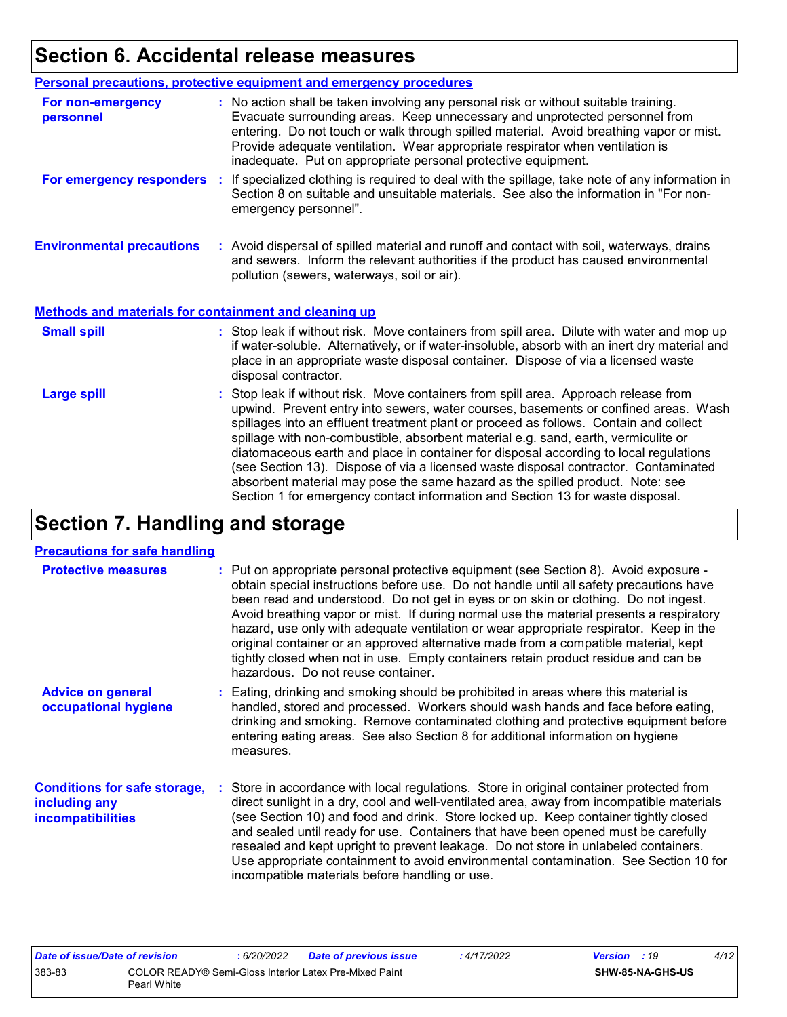## **Section 6. Accidental release measures**

|                                                              | <b>Personal precautions, protective equipment and emergency procedures</b>                                                                                                                                                                                                                                                                                                                                                                                                                                                                                                                                                                                                                                   |
|--------------------------------------------------------------|--------------------------------------------------------------------------------------------------------------------------------------------------------------------------------------------------------------------------------------------------------------------------------------------------------------------------------------------------------------------------------------------------------------------------------------------------------------------------------------------------------------------------------------------------------------------------------------------------------------------------------------------------------------------------------------------------------------|
| For non-emergency<br>personnel                               | : No action shall be taken involving any personal risk or without suitable training.<br>Evacuate surrounding areas. Keep unnecessary and unprotected personnel from<br>entering. Do not touch or walk through spilled material. Avoid breathing vapor or mist.<br>Provide adequate ventilation. Wear appropriate respirator when ventilation is<br>inadequate. Put on appropriate personal protective equipment.                                                                                                                                                                                                                                                                                             |
| For emergency responders                                     | : If specialized clothing is required to deal with the spillage, take note of any information in<br>Section 8 on suitable and unsuitable materials. See also the information in "For non-<br>emergency personnel".                                                                                                                                                                                                                                                                                                                                                                                                                                                                                           |
| <b>Environmental precautions</b>                             | : Avoid dispersal of spilled material and runoff and contact with soil, waterways, drains<br>and sewers. Inform the relevant authorities if the product has caused environmental<br>pollution (sewers, waterways, soil or air).                                                                                                                                                                                                                                                                                                                                                                                                                                                                              |
| <b>Methods and materials for containment and cleaning up</b> |                                                                                                                                                                                                                                                                                                                                                                                                                                                                                                                                                                                                                                                                                                              |
| <b>Small spill</b>                                           | : Stop leak if without risk. Move containers from spill area. Dilute with water and mop up<br>if water-soluble. Alternatively, or if water-insoluble, absorb with an inert dry material and<br>place in an appropriate waste disposal container. Dispose of via a licensed waste<br>disposal contractor.                                                                                                                                                                                                                                                                                                                                                                                                     |
| <b>Large spill</b>                                           | : Stop leak if without risk. Move containers from spill area. Approach release from<br>upwind. Prevent entry into sewers, water courses, basements or confined areas. Wash<br>spillages into an effluent treatment plant or proceed as follows. Contain and collect<br>spillage with non-combustible, absorbent material e.g. sand, earth, vermiculite or<br>diatomaceous earth and place in container for disposal according to local regulations<br>(see Section 13). Dispose of via a licensed waste disposal contractor. Contaminated<br>absorbent material may pose the same hazard as the spilled product. Note: see<br>Section 1 for emergency contact information and Section 13 for waste disposal. |

## **Section 7. Handling and storage**

#### **Precautions for safe handling**

| <b>Protective measures</b>                                                | : Put on appropriate personal protective equipment (see Section 8). Avoid exposure -<br>obtain special instructions before use. Do not handle until all safety precautions have<br>been read and understood. Do not get in eyes or on skin or clothing. Do not ingest.<br>Avoid breathing vapor or mist. If during normal use the material presents a respiratory<br>hazard, use only with adequate ventilation or wear appropriate respirator. Keep in the<br>original container or an approved alternative made from a compatible material, kept<br>tightly closed when not in use. Empty containers retain product residue and can be<br>hazardous. Do not reuse container. |
|---------------------------------------------------------------------------|--------------------------------------------------------------------------------------------------------------------------------------------------------------------------------------------------------------------------------------------------------------------------------------------------------------------------------------------------------------------------------------------------------------------------------------------------------------------------------------------------------------------------------------------------------------------------------------------------------------------------------------------------------------------------------|
| <b>Advice on general</b><br>occupational hygiene                          | : Eating, drinking and smoking should be prohibited in areas where this material is<br>handled, stored and processed. Workers should wash hands and face before eating,<br>drinking and smoking. Remove contaminated clothing and protective equipment before<br>entering eating areas. See also Section 8 for additional information on hygiene<br>measures.                                                                                                                                                                                                                                                                                                                  |
| <b>Conditions for safe storage,</b><br>including any<br>incompatibilities | : Store in accordance with local regulations. Store in original container protected from<br>direct sunlight in a dry, cool and well-ventilated area, away from incompatible materials<br>(see Section 10) and food and drink. Store locked up. Keep container tightly closed<br>and sealed until ready for use. Containers that have been opened must be carefully<br>resealed and kept upright to prevent leakage. Do not store in unlabeled containers.<br>Use appropriate containment to avoid environmental contamination. See Section 10 for<br>incompatible materials before handling or use.                                                                            |

| Date of issue/Date of revision |                                                                       | : 6/20/2022 | Date of previous issue | : 4/17/2022 | <b>Version</b> : 19 |                         | 4/12 |
|--------------------------------|-----------------------------------------------------------------------|-------------|------------------------|-------------|---------------------|-------------------------|------|
| 383-83                         | COLOR READY® Semi-Gloss Interior Latex Pre-Mixed Paint<br>Pearl White |             |                        |             |                     | <b>SHW-85-NA-GHS-US</b> |      |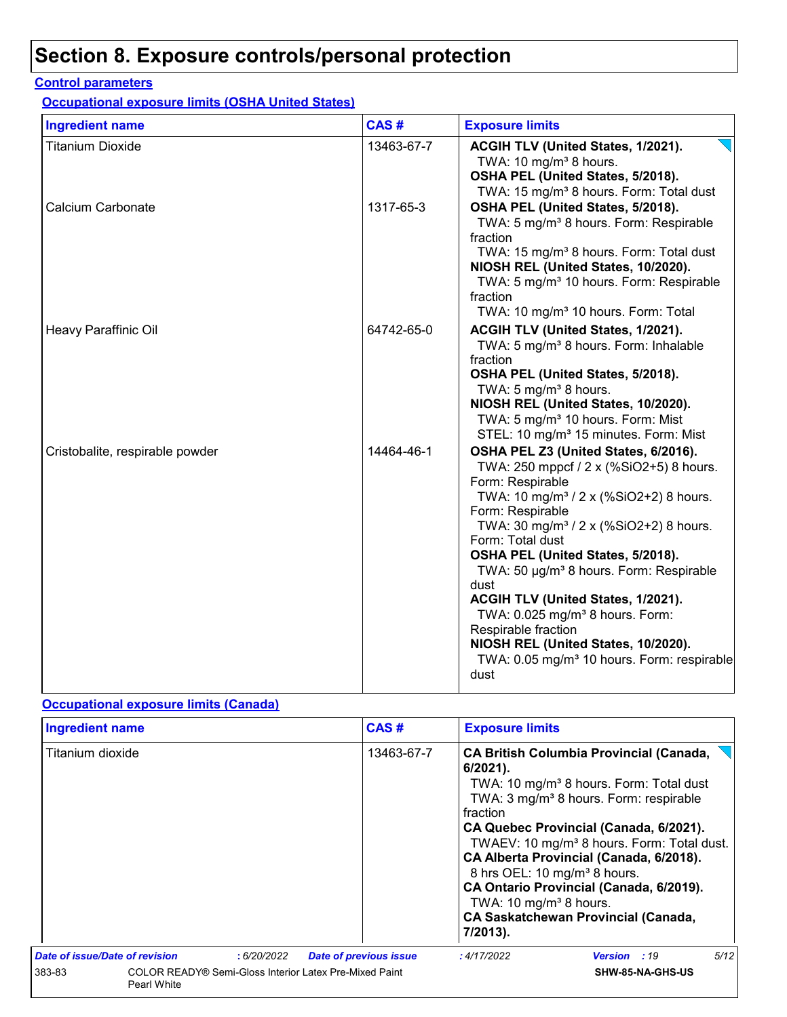## **Section 8. Exposure controls/personal protection**

#### **Control parameters**

**Occupational exposure limits (OSHA United States)**

| <b>Ingredient name</b>          | CAS#       | <b>Exposure limits</b>                                                                                                                                                                                                                                                                                                                                                                                                                                                                                                                                                           |
|---------------------------------|------------|----------------------------------------------------------------------------------------------------------------------------------------------------------------------------------------------------------------------------------------------------------------------------------------------------------------------------------------------------------------------------------------------------------------------------------------------------------------------------------------------------------------------------------------------------------------------------------|
| <b>Titanium Dioxide</b>         | 13463-67-7 | ACGIH TLV (United States, 1/2021).<br>TWA: 10 mg/m <sup>3</sup> 8 hours.<br>OSHA PEL (United States, 5/2018).<br>TWA: 15 mg/m <sup>3</sup> 8 hours. Form: Total dust                                                                                                                                                                                                                                                                                                                                                                                                             |
| Calcium Carbonate               | 1317-65-3  | OSHA PEL (United States, 5/2018).<br>TWA: 5 mg/m <sup>3</sup> 8 hours. Form: Respirable<br>fraction<br>TWA: 15 mg/m <sup>3</sup> 8 hours. Form: Total dust<br>NIOSH REL (United States, 10/2020).<br>TWA: 5 mg/m <sup>3</sup> 10 hours. Form: Respirable<br>fraction<br>TWA: 10 mg/m <sup>3</sup> 10 hours. Form: Total                                                                                                                                                                                                                                                          |
| Heavy Paraffinic Oil            | 64742-65-0 | ACGIH TLV (United States, 1/2021).<br>TWA: 5 mg/m <sup>3</sup> 8 hours. Form: Inhalable<br>fraction<br>OSHA PEL (United States, 5/2018).<br>TWA: 5 mg/m <sup>3</sup> 8 hours.<br>NIOSH REL (United States, 10/2020).<br>TWA: 5 mg/m <sup>3</sup> 10 hours. Form: Mist<br>STEL: 10 mg/m <sup>3</sup> 15 minutes. Form: Mist                                                                                                                                                                                                                                                       |
| Cristobalite, respirable powder | 14464-46-1 | OSHA PEL Z3 (United States, 6/2016).<br>TWA: 250 mppcf / 2 x (%SiO2+5) 8 hours.<br>Form: Respirable<br>TWA: 10 mg/m <sup>3</sup> / 2 x (%SiO2+2) 8 hours.<br>Form: Respirable<br>TWA: 30 mg/m <sup>3</sup> / 2 x (%SiO2+2) 8 hours.<br>Form: Total dust<br>OSHA PEL (United States, 5/2018).<br>TWA: 50 µg/m <sup>3</sup> 8 hours. Form: Respirable<br>dust<br>ACGIH TLV (United States, 1/2021).<br>TWA: 0.025 mg/m <sup>3</sup> 8 hours. Form:<br>Respirable fraction<br>NIOSH REL (United States, 10/2020).<br>TWA: 0.05 mg/m <sup>3</sup> 10 hours. Form: respirable<br>dust |

#### **Occupational exposure limits (Canada)**

| <b>Ingredient name</b>         |                                                                       |            |                               | CAS#                                                                                                                                                                                                                                                                                                                                                                                                                                                                                                                         | <b>Exposure limits</b> |                     |      |
|--------------------------------|-----------------------------------------------------------------------|------------|-------------------------------|------------------------------------------------------------------------------------------------------------------------------------------------------------------------------------------------------------------------------------------------------------------------------------------------------------------------------------------------------------------------------------------------------------------------------------------------------------------------------------------------------------------------------|------------------------|---------------------|------|
| Titanium dioxide               |                                                                       |            | 13463-67-7                    | <b>CA British Columbia Provincial (Canada,</b><br>$6/2021$ ).<br>TWA: 10 mg/m <sup>3</sup> 8 hours. Form: Total dust<br>TWA: 3 mg/m <sup>3</sup> 8 hours. Form: respirable<br>fraction<br>CA Quebec Provincial (Canada, 6/2021).<br>TWAEV: 10 mg/m <sup>3</sup> 8 hours. Form: Total dust.<br>CA Alberta Provincial (Canada, 6/2018).<br>8 hrs OEL: 10 mg/m <sup>3</sup> 8 hours.<br>CA Ontario Provincial (Canada, 6/2019).<br>TWA: 10 mg/m <sup>3</sup> 8 hours.<br><b>CA Saskatchewan Provincial (Canada,</b><br>7/2013). |                        |                     |      |
| Date of issue/Date of revision |                                                                       | :6/20/2022 | <b>Date of previous issue</b> |                                                                                                                                                                                                                                                                                                                                                                                                                                                                                                                              | : 4/17/2022            | <b>Version</b> : 19 | 5/12 |
| 383-83                         | COLOR READY® Semi-Gloss Interior Latex Pre-Mixed Paint<br>Pearl White |            |                               |                                                                                                                                                                                                                                                                                                                                                                                                                                                                                                                              |                        | SHW-85-NA-GHS-US    |      |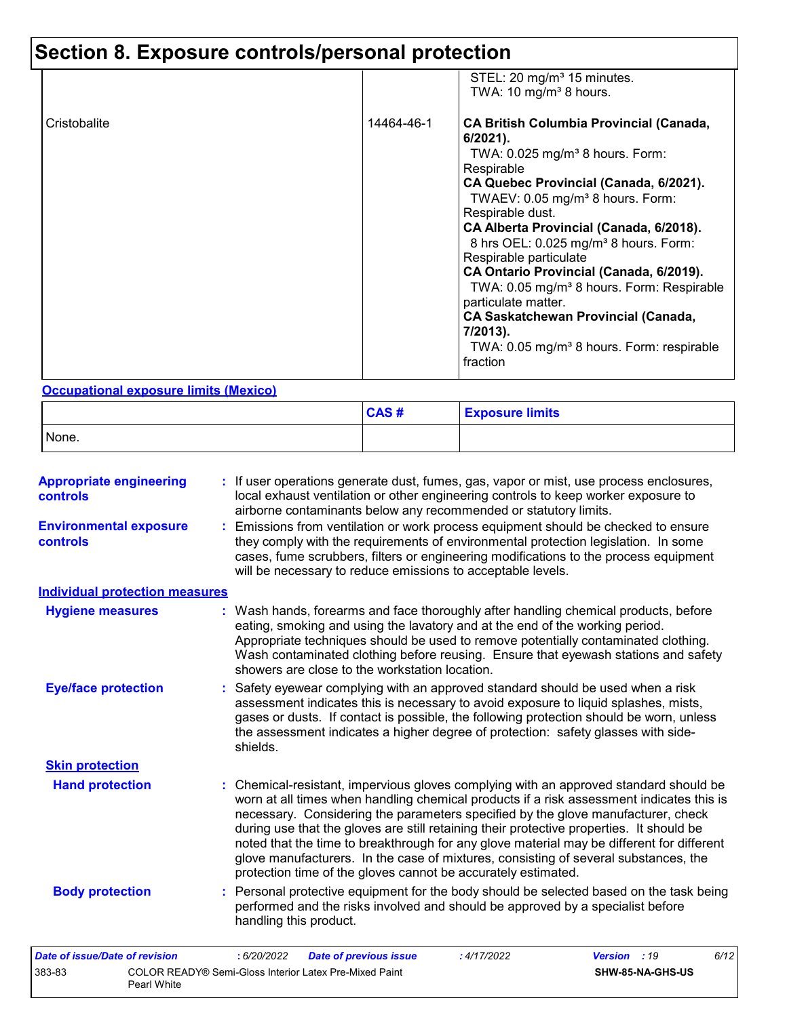# **Section 8. Exposure controls/personal protection**

|              |            | STEL: 20 mg/m <sup>3</sup> 15 minutes.<br>TWA: 10 mg/m <sup>3</sup> 8 hours.                                                                                                                                                                                                                                                                                                                                                                                                                                                                                                                                                   |
|--------------|------------|--------------------------------------------------------------------------------------------------------------------------------------------------------------------------------------------------------------------------------------------------------------------------------------------------------------------------------------------------------------------------------------------------------------------------------------------------------------------------------------------------------------------------------------------------------------------------------------------------------------------------------|
| Cristobalite | 14464-46-1 | <b>CA British Columbia Provincial (Canada,</b><br>$6/2021$ ).<br>TWA: $0.025$ mg/m <sup>3</sup> 8 hours. Form:<br>Respirable<br>CA Quebec Provincial (Canada, 6/2021).<br>TWAEV: 0.05 mg/m <sup>3</sup> 8 hours. Form:<br>Respirable dust.<br>CA Alberta Provincial (Canada, 6/2018).<br>8 hrs OEL: 0.025 mg/m <sup>3</sup> 8 hours. Form:<br>Respirable particulate<br>CA Ontario Provincial (Canada, 6/2019).<br>TWA: 0.05 mg/m <sup>3</sup> 8 hours. Form: Respirable<br>particulate matter.<br><b>CA Saskatchewan Provincial (Canada,</b><br>7/2013).<br>TWA: 0.05 mg/m <sup>3</sup> 8 hours. Form: respirable<br>fraction |

#### **Occupational exposure limits (Mexico)**

Pearl White

|       | CAS# | <b>Exposure limits</b> |
|-------|------|------------------------|
| None. |      |                        |

| <b>Appropriate engineering</b><br><b>controls</b> | : If user operations generate dust, fumes, gas, vapor or mist, use process enclosures,<br>local exhaust ventilation or other engineering controls to keep worker exposure to<br>airborne contaminants below any recommended or statutory limits.                                                                                                                                                                                                                                                                                                                                                                       |
|---------------------------------------------------|------------------------------------------------------------------------------------------------------------------------------------------------------------------------------------------------------------------------------------------------------------------------------------------------------------------------------------------------------------------------------------------------------------------------------------------------------------------------------------------------------------------------------------------------------------------------------------------------------------------------|
| <b>Environmental exposure</b><br>controls         | : Emissions from ventilation or work process equipment should be checked to ensure<br>they comply with the requirements of environmental protection legislation. In some<br>cases, fume scrubbers, filters or engineering modifications to the process equipment<br>will be necessary to reduce emissions to acceptable levels.                                                                                                                                                                                                                                                                                        |
| <b>Individual protection measures</b>             |                                                                                                                                                                                                                                                                                                                                                                                                                                                                                                                                                                                                                        |
| <b>Hygiene measures</b>                           | : Wash hands, forearms and face thoroughly after handling chemical products, before<br>eating, smoking and using the lavatory and at the end of the working period.<br>Appropriate techniques should be used to remove potentially contaminated clothing.<br>Wash contaminated clothing before reusing. Ensure that eyewash stations and safety<br>showers are close to the workstation location.                                                                                                                                                                                                                      |
| <b>Eye/face protection</b>                        | : Safety eyewear complying with an approved standard should be used when a risk<br>assessment indicates this is necessary to avoid exposure to liquid splashes, mists,<br>gases or dusts. If contact is possible, the following protection should be worn, unless<br>the assessment indicates a higher degree of protection: safety glasses with side-<br>shields.                                                                                                                                                                                                                                                     |
| <b>Skin protection</b>                            |                                                                                                                                                                                                                                                                                                                                                                                                                                                                                                                                                                                                                        |
| <b>Hand protection</b>                            | : Chemical-resistant, impervious gloves complying with an approved standard should be<br>worn at all times when handling chemical products if a risk assessment indicates this is<br>necessary. Considering the parameters specified by the glove manufacturer, check<br>during use that the gloves are still retaining their protective properties. It should be<br>noted that the time to breakthrough for any glove material may be different for different<br>glove manufacturers. In the case of mixtures, consisting of several substances, the<br>protection time of the gloves cannot be accurately estimated. |
| <b>Body protection</b>                            | : Personal protective equipment for the body should be selected based on the task being<br>performed and the risks involved and should be approved by a specialist before<br>handling this product.                                                                                                                                                                                                                                                                                                                                                                                                                    |
| Date of issue/Date of revision                    | 6/12<br>: 6/20/2022<br><b>Date of previous issue</b><br>: 4/17/2022<br><b>Version</b> : 19                                                                                                                                                                                                                                                                                                                                                                                                                                                                                                                             |
| 383-83                                            | COLOR READY® Semi-Gloss Interior Latex Pre-Mixed Paint<br>SHW-85-NA-GHS-US                                                                                                                                                                                                                                                                                                                                                                                                                                                                                                                                             |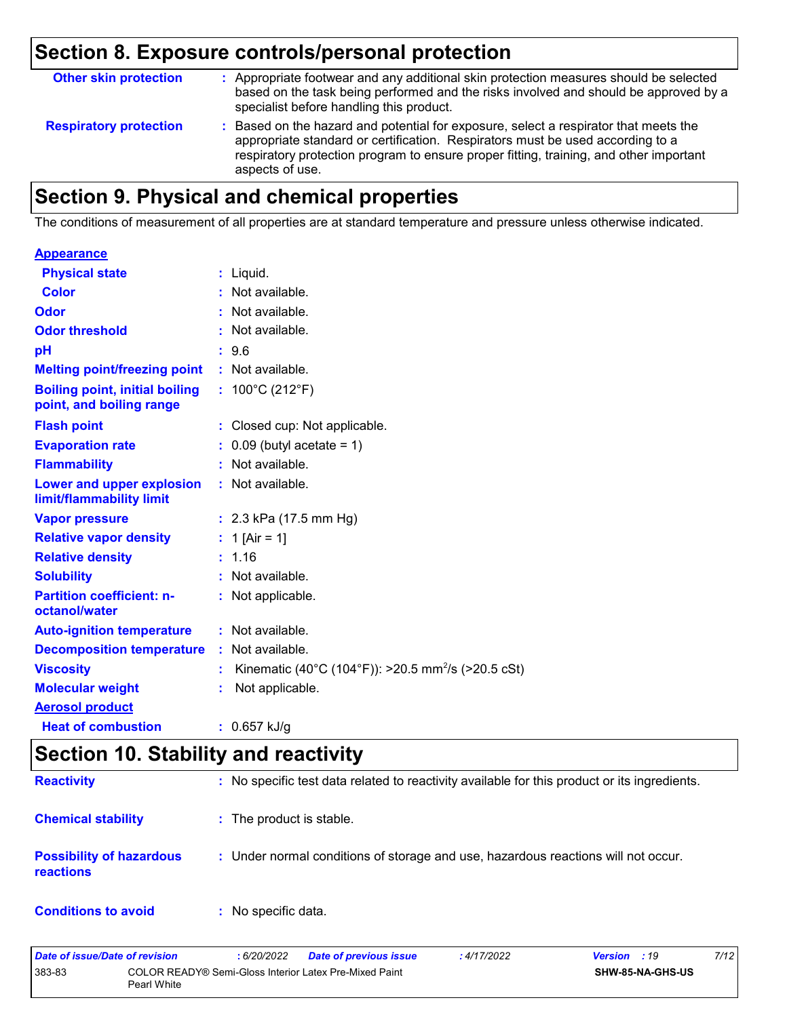## **Section 8. Exposure controls/personal protection**

| <b>Other skin protection</b>  | : Appropriate footwear and any additional skin protection measures should be selected<br>based on the task being performed and the risks involved and should be approved by a<br>specialist before handling this product.                                                           |
|-------------------------------|-------------------------------------------------------------------------------------------------------------------------------------------------------------------------------------------------------------------------------------------------------------------------------------|
| <b>Respiratory protection</b> | : Based on the hazard and potential for exposure, select a respirator that meets the<br>appropriate standard or certification. Respirators must be used according to a<br>respiratory protection program to ensure proper fitting, training, and other important<br>aspects of use. |

## **Section 9. Physical and chemical properties**

The conditions of measurement of all properties are at standard temperature and pressure unless otherwise indicated.

| $:$ Liquid.                                                          |
|----------------------------------------------------------------------|
| : Not available.                                                     |
| : Not available.                                                     |
| : Not available.                                                     |
| : 9.6                                                                |
| : Not available.                                                     |
| : $100^{\circ}$ C (212 $^{\circ}$ F)                                 |
| : Closed cup: Not applicable.                                        |
| $0.09$ (butyl acetate = 1)                                           |
| : Not available.                                                     |
| : Not available.                                                     |
| : $2.3$ kPa (17.5 mm Hg)                                             |
| : 1 [Air = 1]                                                        |
| : 1.16                                                               |
| : Not available.                                                     |
| Not applicable.                                                      |
| : Not available.                                                     |
| : Not available.                                                     |
| Kinematic (40°C (104°F)): >20.5 mm <sup>2</sup> /s (>20.5 cSt)<br>÷. |
| Not applicable.                                                      |
|                                                                      |
| : $0.657$ kJ/g                                                       |
|                                                                      |

## **Section 10. Stability and reactivity**

| <b>Reactivity</b>                            | : No specific test data related to reactivity available for this product or its ingredients. |
|----------------------------------------------|----------------------------------------------------------------------------------------------|
| <b>Chemical stability</b>                    | : The product is stable.                                                                     |
| <b>Possibility of hazardous</b><br>reactions | : Under normal conditions of storage and use, hazardous reactions will not occur.            |
| <b>Conditions to avoid</b>                   | : No specific data.                                                                          |

| Date of issue/Date of revision |                                                                       | 6/20/2022 | <b>Date of previous issue</b> | : 4/17/2022 | <b>Version</b> : 19 |                  | 7/12 |
|--------------------------------|-----------------------------------------------------------------------|-----------|-------------------------------|-------------|---------------------|------------------|------|
| 383-83                         | COLOR READY® Semi-Gloss Interior Latex Pre-Mixed Paint<br>Pearl White |           |                               |             |                     | SHW-85-NA-GHS-US |      |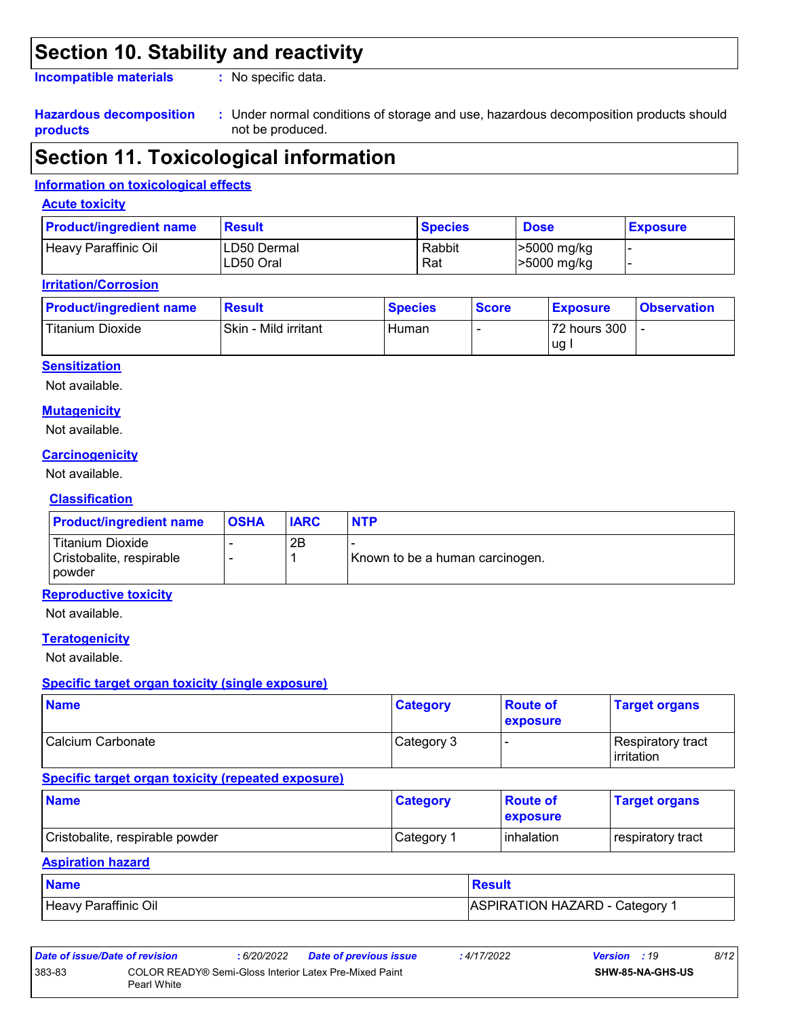### **Section 10. Stability and reactivity**

**Incompatible materials :**

: No specific data.

#### **Hazardous decomposition products**

Under normal conditions of storage and use, hazardous decomposition products should **:** not be produced.

## **Section 11. Toxicological information**

#### **Information on toxicological effects**

#### **Acute toxicity**

| <b>Product/ingredient name</b> | <b>Result</b>            | <b>Species</b> | <b>Dose</b>                      | <b>Exposure</b> |
|--------------------------------|--------------------------|----------------|----------------------------------|-----------------|
| Heavy Paraffinic Oil           | LD50 Dermal<br>LD50 Oral | Rabbit<br>Rat  | >5000 mg/kg<br>$\geq 5000$ mg/kg |                 |

#### **Irritation/Corrosion**

| <b>Product/ingredient name</b> | <b>Result</b>        | <b>Species</b> | <b>Score</b> | <b>Exposure</b>    | <b>Observation</b> |
|--------------------------------|----------------------|----------------|--------------|--------------------|--------------------|
| Titanium Dioxide               | Skin - Mild irritant | Human          |              | 72 hours 300<br>ug |                    |

#### **Sensitization**

Not available.

#### **Mutagenicity**

Not available.

#### **Carcinogenicity**

Not available.

#### **Classification**

| <b>Product/ingredient name</b>                                | <b>OSHA</b> | <b>IARC</b> | <b>NTP</b>                      |
|---------------------------------------------------------------|-------------|-------------|---------------------------------|
| Titanium Dioxide<br>Cristobalite, respirable<br><b>powder</b> |             | 2B          | Known to be a human carcinogen. |

#### **Reproductive toxicity**

Not available.

#### **Teratogenicity**

Not available.

#### **Specific target organ toxicity (single exposure)**

| <b>Name</b>       | <b>Category</b> | <b>Route of</b><br><b>exposure</b> | <b>Target organs</b>                            |
|-------------------|-----------------|------------------------------------|-------------------------------------------------|
| Calcium Carbonate | Category 3      |                                    | <b>Respiratory tract</b><br><b>l</b> irritation |

#### **Specific target organ toxicity (repeated exposure)**

| <b>Name</b>                     | <b>Category</b>        | <b>Route of</b><br><b>exposure</b> | <b>Target organs</b> |
|---------------------------------|------------------------|------------------------------------|----------------------|
| Cristobalite, respirable powder | ⊩Category <sup>≁</sup> | <b>l</b> inhalation                | respiratory tract    |

#### **Aspiration hazard**

| <b>Name</b>          | <b>Result</b>                |
|----------------------|------------------------------|
| Heavy Paraffinic Oil | ASPIRATION HAZARD - Category |

| Date of issue/Date of revision |                                                                       | : 6/20/2022 | <b>Date of previous issue</b> | : 4/17/2022 | <b>Version</b> : 19 |                         | 8/12 |
|--------------------------------|-----------------------------------------------------------------------|-------------|-------------------------------|-------------|---------------------|-------------------------|------|
| 383-83                         | COLOR READY® Semi-Gloss Interior Latex Pre-Mixed Paint<br>Pearl White |             |                               |             |                     | <b>SHW-85-NA-GHS-US</b> |      |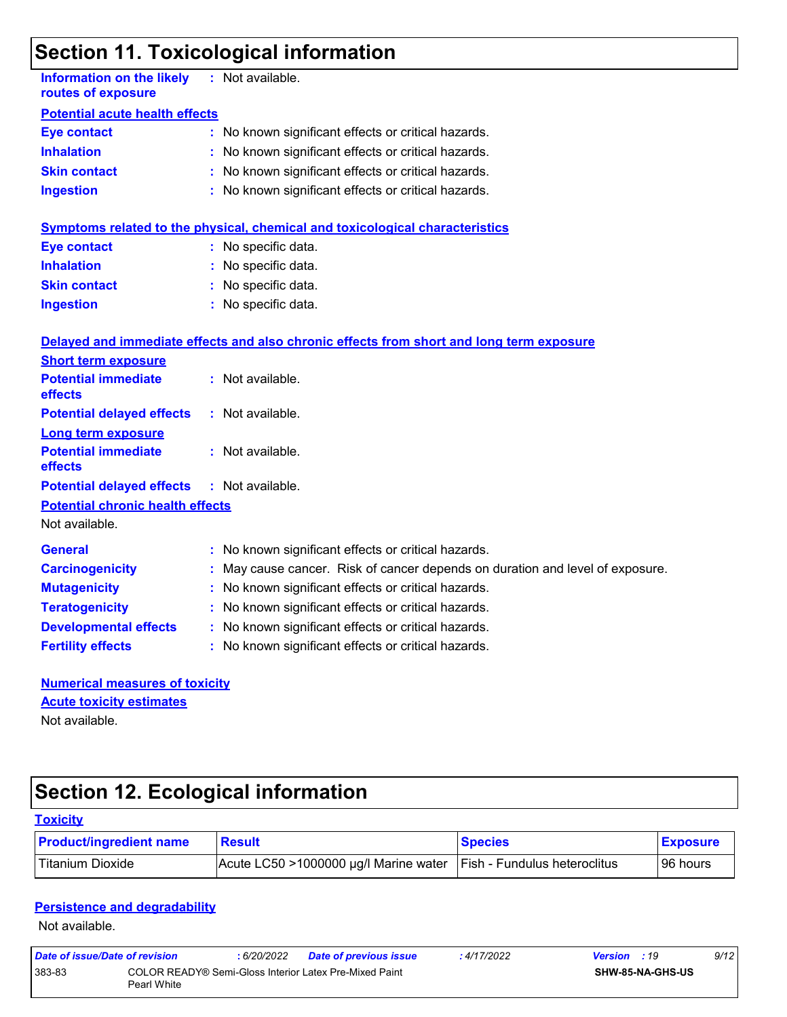## **Section 11. Toxicological information**

| <b>Information on the likely</b><br>routes of exposure    |  | : Not available.                                                                         |  |  |  |  |  |
|-----------------------------------------------------------|--|------------------------------------------------------------------------------------------|--|--|--|--|--|
| <b>Potential acute health effects</b>                     |  |                                                                                          |  |  |  |  |  |
| <b>Eye contact</b>                                        |  | : No known significant effects or critical hazards.                                      |  |  |  |  |  |
| <b>Inhalation</b>                                         |  | : No known significant effects or critical hazards.                                      |  |  |  |  |  |
| <b>Skin contact</b>                                       |  | No known significant effects or critical hazards.                                        |  |  |  |  |  |
| <b>Ingestion</b>                                          |  | : No known significant effects or critical hazards.                                      |  |  |  |  |  |
|                                                           |  | <b>Symptoms related to the physical, chemical and toxicological characteristics</b>      |  |  |  |  |  |
| <b>Eye contact</b>                                        |  | : No specific data.                                                                      |  |  |  |  |  |
| <b>Inhalation</b>                                         |  | : No specific data.                                                                      |  |  |  |  |  |
| <b>Skin contact</b>                                       |  | : No specific data.                                                                      |  |  |  |  |  |
| <b>Ingestion</b>                                          |  | : No specific data.                                                                      |  |  |  |  |  |
|                                                           |  | Delayed and immediate effects and also chronic effects from short and long term exposure |  |  |  |  |  |
| <b>Short term exposure</b>                                |  |                                                                                          |  |  |  |  |  |
| <b>Potential immediate</b><br>effects                     |  | : Not available.                                                                         |  |  |  |  |  |
| <b>Potential delayed effects</b>                          |  | : Not available.                                                                         |  |  |  |  |  |
| <b>Long term exposure</b>                                 |  |                                                                                          |  |  |  |  |  |
| <b>Potential immediate</b><br>effects                     |  | : Not available.                                                                         |  |  |  |  |  |
| <b>Potential delayed effects</b>                          |  | : Not available.                                                                         |  |  |  |  |  |
| <b>Potential chronic health effects</b><br>Not available. |  |                                                                                          |  |  |  |  |  |
| <b>General</b>                                            |  | : No known significant effects or critical hazards.                                      |  |  |  |  |  |
| <b>Carcinogenicity</b>                                    |  | : May cause cancer. Risk of cancer depends on duration and level of exposure.            |  |  |  |  |  |
| <b>Mutagenicity</b>                                       |  | No known significant effects or critical hazards.                                        |  |  |  |  |  |
| <b>Teratogenicity</b>                                     |  | : No known significant effects or critical hazards.                                      |  |  |  |  |  |
| <b>Developmental effects</b>                              |  | : No known significant effects or critical hazards.                                      |  |  |  |  |  |
| <b>Fertility effects</b>                                  |  | : No known significant effects or critical hazards.                                      |  |  |  |  |  |
| <b>Numerical measures of toxicity</b>                     |  |                                                                                          |  |  |  |  |  |
| <b>Acute toxicity estimates</b>                           |  |                                                                                          |  |  |  |  |  |
| Not available.                                            |  |                                                                                          |  |  |  |  |  |

# **Section 12. Ecological information**

| <b>Toxicity</b>                |                                       |                              |                 |
|--------------------------------|---------------------------------------|------------------------------|-----------------|
| <b>Product/ingredient name</b> | <b>Result</b>                         | <b>Species</b>               | <b>Exposure</b> |
| Titanium Dioxide               | Acute LC50 >1000000 µg/l Marine water | Fish - Fundulus heteroclitus | 196 hours       |

#### **Persistence and degradability**

Not available.

| Date of issue/Date of revision |                                                                       | : 6/20/2022 | <b>Date of previous issue</b> | : 4/17/2022 | <b>Version</b> : 19 |                         | 9/12 |
|--------------------------------|-----------------------------------------------------------------------|-------------|-------------------------------|-------------|---------------------|-------------------------|------|
| 383-83                         | COLOR READY® Semi-Gloss Interior Latex Pre-Mixed Paint<br>Pearl White |             |                               |             |                     | <b>SHW-85-NA-GHS-US</b> |      |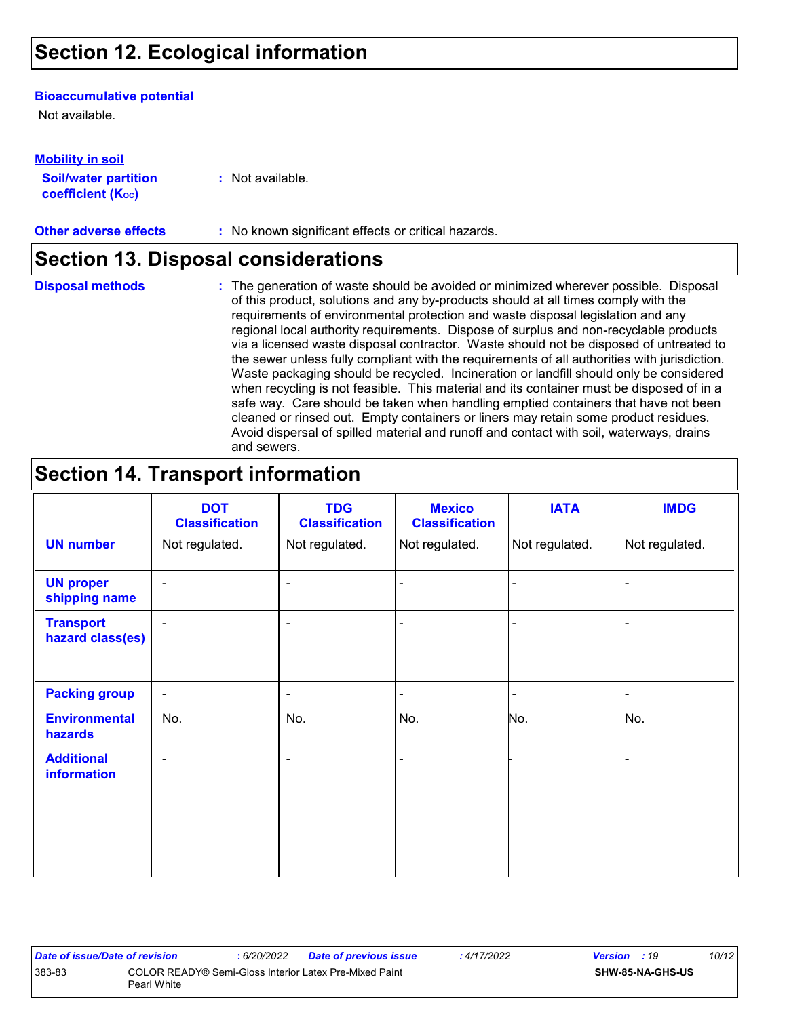## **Section 12. Ecological information**

#### **Bioaccumulative potential**

Not available.

**Mobility in soil**

| IVIVIJILY III JVII          |                  |
|-----------------------------|------------------|
| <b>Soil/water partition</b> | : Not available. |
| <b>coefficient (Koc)</b>    |                  |

**Other adverse effects** : No known significant effects or critical hazards.

### **Section 13. Disposal considerations**

**Disposal methods :**

The generation of waste should be avoided or minimized wherever possible. Disposal of this product, solutions and any by-products should at all times comply with the requirements of environmental protection and waste disposal legislation and any regional local authority requirements. Dispose of surplus and non-recyclable products via a licensed waste disposal contractor. Waste should not be disposed of untreated to the sewer unless fully compliant with the requirements of all authorities with jurisdiction. Waste packaging should be recycled. Incineration or landfill should only be considered when recycling is not feasible. This material and its container must be disposed of in a safe way. Care should be taken when handling emptied containers that have not been cleaned or rinsed out. Empty containers or liners may retain some product residues. Avoid dispersal of spilled material and runoff and contact with soil, waterways, drains and sewers.

## **Section 14. Transport information**

|                                      | <b>DOT</b><br><b>Classification</b> | <b>TDG</b><br><b>Classification</b> | <b>Mexico</b><br><b>Classification</b> | <b>IATA</b>    | <b>IMDG</b>    |
|--------------------------------------|-------------------------------------|-------------------------------------|----------------------------------------|----------------|----------------|
| <b>UN number</b>                     | Not regulated.                      | Not regulated.                      | Not regulated.                         | Not regulated. | Not regulated. |
| <b>UN proper</b><br>shipping name    | $\blacksquare$                      | ۰                                   | $\blacksquare$                         |                |                |
| <b>Transport</b><br>hazard class(es) | $\blacksquare$                      | ۰                                   | $\blacksquare$                         |                |                |
| <b>Packing group</b>                 | $\blacksquare$                      | ۰                                   | $\overline{\phantom{0}}$               |                | $\blacksquare$ |
| <b>Environmental</b><br>hazards      | No.                                 | No.                                 | No.                                    | No.            | No.            |
| <b>Additional</b><br>information     | $\overline{\phantom{a}}$            | ۰                                   | $\blacksquare$                         |                |                |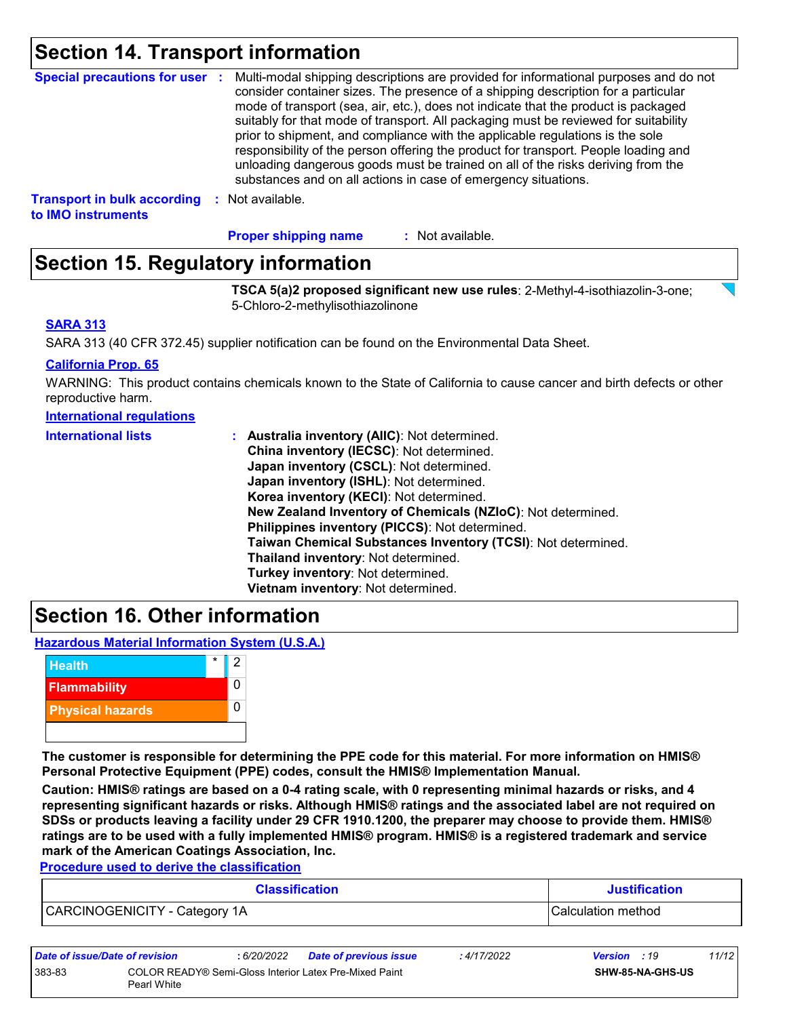### **Section 14. Transport information**

| <b>Special precautions for user :</b> | Multi-modal shipping descriptions are provided for informational purposes and do not<br>consider container sizes. The presence of a shipping description for a particular<br>mode of transport (sea, air, etc.), does not indicate that the product is packaged<br>suitably for that mode of transport. All packaging must be reviewed for suitability<br>prior to shipment, and compliance with the applicable regulations is the sole<br>responsibility of the person offering the product for transport. People loading and<br>unloading dangerous goods must be trained on all of the risks deriving from the<br>substances and on all actions in case of emergency situations. |
|---------------------------------------|-------------------------------------------------------------------------------------------------------------------------------------------------------------------------------------------------------------------------------------------------------------------------------------------------------------------------------------------------------------------------------------------------------------------------------------------------------------------------------------------------------------------------------------------------------------------------------------------------------------------------------------------------------------------------------------|
| <b>Transport in bulk according</b>    | Not available.                                                                                                                                                                                                                                                                                                                                                                                                                                                                                                                                                                                                                                                                      |
| to IMO instruments                    | -9                                                                                                                                                                                                                                                                                                                                                                                                                                                                                                                                                                                                                                                                                  |

: Not available. **Proper shipping name :**

## **Section 15. Regulatory information**

**TSCA 5(a)2 proposed significant new use rules**: 2-Methyl-4-isothiazolin-3-one; 5-Chloro-2-methylisothiazolinone

#### **SARA 313**

SARA 313 (40 CFR 372.45) supplier notification can be found on the Environmental Data Sheet.

#### **California Prop. 65**

WARNING: This product contains chemicals known to the State of California to cause cancer and birth defects or other reproductive harm.

#### **International regulations**

| <b>International lists</b> | : Australia inventory (AIIC): Not determined.                |
|----------------------------|--------------------------------------------------------------|
|                            | China inventory (IECSC): Not determined.                     |
|                            | Japan inventory (CSCL): Not determined.                      |
|                            | Japan inventory (ISHL): Not determined.                      |
|                            | Korea inventory (KECI): Not determined.                      |
|                            | New Zealand Inventory of Chemicals (NZIoC): Not determined.  |
|                            | Philippines inventory (PICCS): Not determined.               |
|                            | Taiwan Chemical Substances Inventory (TCSI): Not determined. |
|                            | Thailand inventory: Not determined.                          |
|                            | Turkey inventory: Not determined.                            |
|                            | Vietnam inventory: Not determined.                           |

### **Section 16. Other information**

**Hazardous Material Information System (U.S.A.)**



**The customer is responsible for determining the PPE code for this material. For more information on HMIS® Personal Protective Equipment (PPE) codes, consult the HMIS® Implementation Manual.**

**Caution: HMIS® ratings are based on a 0-4 rating scale, with 0 representing minimal hazards or risks, and 4 representing significant hazards or risks. Although HMIS® ratings and the associated label are not required on SDSs or products leaving a facility under 29 CFR 1910.1200, the preparer may choose to provide them. HMIS® ratings are to be used with a fully implemented HMIS® program. HMIS® is a registered trademark and service mark of the American Coatings Association, Inc.**

**Procedure used to derive the classification**

| <b>Classification</b>         | <b>Justification</b> |
|-------------------------------|----------------------|
| CARCINOGENICITY - Category 1A | Calculation method   |

| Date of issue/Date of revision |                                                                       | : 6/20/2022 | <b>Date of previous issue</b> | : 4/17/2022 | <b>Version</b> : 19 |                  | 11/12 |
|--------------------------------|-----------------------------------------------------------------------|-------------|-------------------------------|-------------|---------------------|------------------|-------|
| 383-83                         | COLOR READY® Semi-Gloss Interior Latex Pre-Mixed Paint<br>Pearl White |             |                               |             |                     | SHW-85-NA-GHS-US |       |